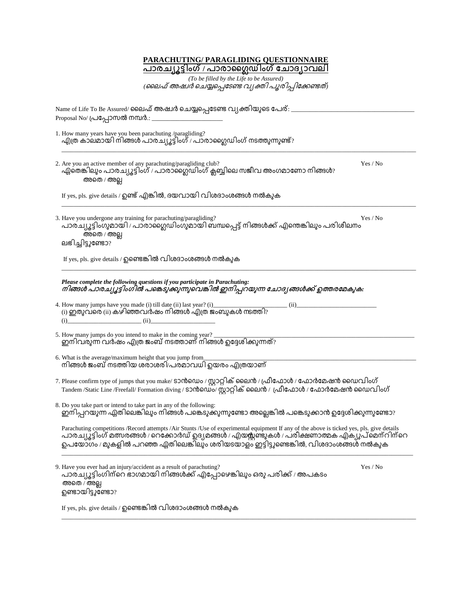| <b>PARACHUTING/ PARAGLIDING QUESTIONNAIRE</b><br><u>പാരച്യൂട്ടിംഗ് / പാരാഗ്ലൈഡിംഗ് ചോദ്യാവലി</u>                                                                                                                                                                                                                                  |
|-----------------------------------------------------------------------------------------------------------------------------------------------------------------------------------------------------------------------------------------------------------------------------------------------------------------------------------|
| (To be filled by the Life to be Assured)                                                                                                                                                                                                                                                                                          |
| (ലൈഫ് അഷ്വർ ചെയ്യപ്പെടേണ്ട് വ്യക്തി പൂരിപ്പിക്കേണ്ടത്)                                                                                                                                                                                                                                                                            |
| Name of Life To Be Assured/ ലൈഫ് അഷ്വർ ചെയ്യപ്പെടേണ്ട വ്യക്തിയുടെ പേര്: _<br>Proposal No/ പ്രപ്പോസൽ നമ്പർ.:                                                                                                                                                                                                                       |
| 1. How many years have you been parachuting /paragliding?<br>എത്ര കാലമായി നിങ്ങൾ പാരച്യൂട്ടിംഗ് / പാരാഗ്ലൈഡിംഗ് നടത്തുന്നുണ്ട്?                                                                                                                                                                                                   |
| Yes / No<br>2. Are you an active member of any parachuting/paragliding club?<br>ഏതെങ്കിലും പാരച്യൂട്ടിംഗ് / പാരാസ്റ്റൈഡിംഗ് ക്ലബ്ബിലെ സജീവ അംഗമാണോ നിങ്ങൾ?<br>അതെ / അല്ല                                                                                                                                                          |
| If yes, pls. give details / ഉണ്ട് എങ്കിൽ, ദയവായി വിശദാംശങ്ങൾ നൽകുക                                                                                                                                                                                                                                                                |
| 3. Have you undergone any training for parachuting/paragliding?<br>Yes / No<br>പാര്ച്യൂട്ടിംഗുമായി / പാരാജെറ്റഡിംഗുമായി ബന്ധപ്പെട്ട് നിങ്ങൾക്ക് എന്തെങ്കിലും പരിശീലനം<br>അതെ / അല്ല<br>ലഭിച്ചിട്ടുണ്ടോ?                                                                                                                           |
| If yes, pls. give details / ഉണ്ടെങ്കിൽ വിശദാംശങ്ങൾ നൽകുക                                                                                                                                                                                                                                                                          |
| Please complete the following questions if you participate in Parachuting:<br>നിങ്ങൾ പാരച്യൂട്ടിംഗിൽ പങ്കെടുക്കുന്നുവെങ്കിൽ ഇനിപ്പറയുന്ന ചോദ്യങ്ങൾക്ക് ഉത്തരമേകുക:                                                                                                                                                                |
| 4. How many jumps have you made (i) till date (ii) last year? (i)_<br>(ii)<br>$\sim$ (i) ഇതുവരെ (ii) കഴിഞ്ഞവർഷം നിങ്ങൾ എത്ര ജംബുകൾ നടത്തി?<br>(i)                                                                                                                                                                                 |
| 5. How many jumps do you intend to make in the coming year?<br>ഇനിവരുന്ന വർഷം എത്ര ജംബ് നടത്താണ് നിങ്ങൾ ഉദ്ദേശിക്കുന്നത്?                                                                                                                                                                                                         |
| 6. What is the average/maximum height that you jump from<br>നിങ്ങൾ ജംബ് നടത്തിയ ശരാശരി⁄പരമാവധി ഉയരം എത്രയാണ്                                                                                                                                                                                                                      |
| 7. Please confirm type of jumps that you make/ ടാൻഡെം / സ്റ്റാറ്റിക് ലൈൻ / ഫ്രീഫോൾ / ഫോർമേഷൻ ഡൈവിംഗ്<br>Tandem /Static Line /Freefall/ Formation diving / ടാൻഡെം (സ്റ്റാറ്റിക് ലൈൻ / ഫ്രീഫോൾ / ഫോർമേഷൻ ഡൈവിംഗ്                                                                                                                    |
| 8. Do you take part or intend to take part in any of the following:<br>ഇനിപ്പറയുന്ന ഏതിലെങ്കിലും നിങ്ങൾ പങ്കെടുക്കുന്നുണ്ടോ അല്ലെങ്കിൽ പങ്കെടുക്കാൻ ഉദ്ദേശിക്കുന്നുണ്ടോ?                                                                                                                                                          |
| Parachuting competitions /Record attempts /Air Stunts /Use of experimental equipment If any of the above is ticked yes, pls. give details<br>പാരച്യൂട്ടിംഗ് മത്സരങ്ങൾ / റെക്കോർഡ് ഉദ്യമങ്ങൾ / എയസ്സണ്ടുകൾ / പരീക്ഷണാത്മക എക്യുപ്മെന്റിന്റെ<br>ഉപയോഗം / മുകളിൽ പറഞ്ഞ ഏതിലെങ്കിലും ശരിയടയാള്ം ഇട്ടിട്ടുണ്ടെങ്കിൽ, വിശദാംശങ്ങൾ നൽകുക |
| Yes / No<br>9. Have you ever had an injury/accident as a result of parachuting?<br>പാരച്യൂട്ടിംഗിന്റെ ഭാഗമായി നിങ്ങൾക്ക് എപ്പോഴെങ്കിലും ഒരു പരിക്ക് / അപകടം<br>അതെ / അല്ല<br>ഉണ്ടായിട്ടുണ്ടോ?                                                                                                                                     |
| If yes, pls. give details / ഉണ്ടെങ്കിൽ വിശദാംശങ്ങൾ നൽകുക                                                                                                                                                                                                                                                                          |

\_\_\_\_\_\_\_\_\_\_\_\_\_\_\_\_\_\_\_\_\_\_\_\_\_\_\_\_\_\_\_\_\_\_\_\_\_\_\_\_\_\_\_\_\_\_\_\_\_\_\_\_\_\_\_\_\_\_\_\_\_\_\_\_\_\_\_\_\_\_\_\_\_\_\_\_\_\_\_\_\_\_\_\_\_\_\_\_\_\_\_\_\_\_\_\_\_\_\_\_\_\_\_\_\_\_\_\_\_\_\_\_\_\_\_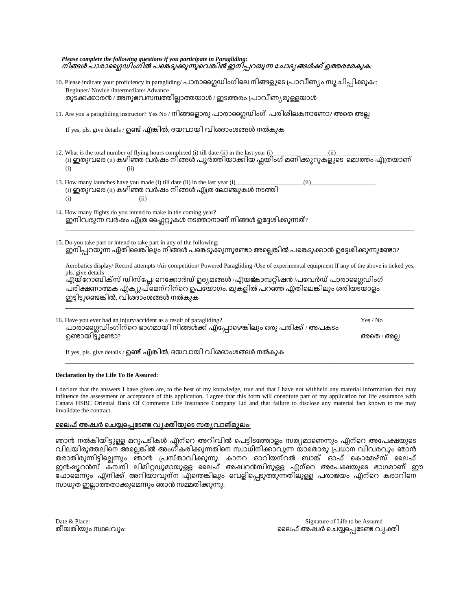| Please complete the following questions if you participate in Paragliding:           |
|--------------------------------------------------------------------------------------|
| നിങ്ങൾ പാരാഗ്ലൈഡിംഗിൽ പങ്കെടുക്കുന്നുവെങ്കിൽ ഇനിപ്പറയുന്ന ചോദ്യ ങ്ങൾക്ക് ഉത്തരമേകുക: |

- 10. Please indicate your proficiency in paragliding/ പാരാഗ്ലൈഡിംഗിലെ നിങ്ങളുടെ പ്രാവീണ്യം സൂചിപ്പിക്കുക:: Beginner/ Novice /Intermediate/ Advance തുടക്കക്കാരൻ / അനുഭവസമ്പത്തില്ലാത്തയാൾ / ഇടത്തരം പ്രാവീണ്യമുള്ളയാൾ
- 11. Are you a paragliding instructor? Yes No / നിങ്ങളൊരു പാരാഗ്ലൈഡിംഗ് പരിശീലകനാണോ? അതെ അല്ല

If yes, pls. give details / ഉണ്ട് എങ്കിൽ, ദയവായി വിശദാംശങ്ങൾ നൽകുക

| 12. What is the total number of flying hours completed (i) till date (ii) in the last year (i) |
|------------------------------------------------------------------------------------------------|
| ്രി ഇതുവരെ (ii) കഴിഞ്ഞ വർഷം നിങ്ങൾ പൂർത്തിയാക്കിയ ഫ്ലയിംഗ് മണിക്കുറുകളുടെ മൊത്തം എത്രയാണ്      |
|                                                                                                |

\_\_\_\_\_\_\_\_\_\_\_\_\_\_\_\_\_\_\_\_\_\_\_\_\_\_\_\_\_\_\_\_\_\_\_\_\_\_\_\_\_\_\_\_\_\_\_\_\_\_\_\_\_\_\_\_\_\_\_\_\_\_\_\_\_\_\_\_\_\_\_\_\_\_\_\_\_\_\_\_\_\_\_\_\_\_\_\_\_\_\_\_\_\_\_\_\_\_\_\_\_\_\_\_\_\_\_\_\_\_\_\_\_

- 13. How many launches have you made (i) till date (ii) in the last year (i)\_\_\_\_\_\_\_\_\_\_\_\_\_\_\_\_\_\_\_\_\_\_(ii)\_\_\_\_\_\_\_\_\_\_\_\_\_\_\_\_\_\_\_\_\_  $\left($ i) ഇതുവരെ  $\left($ ii) കഴിഞ്ഞ വർഷം നിങ്ങൾ എത്ര ലോഞ്ചുകൾ നടത്തി (i)\_\_\_\_\_\_\_\_\_\_\_\_\_\_\_\_\_\_\_\_\_\_(ii)\_\_\_\_\_\_\_\_\_\_\_\_\_\_\_\_\_\_\_\_\_
- 14. How many flights do you intend to make in the coming year? ഇനിവരുന്ന വർഷം എത്ര ഫ്ലൈറ്റുകൾ നടത്താനാണ് നിങ്ങൾ ഉദ്ദേശിക്കുന്നത്?
- 15. Do you take part or intend to take part in any of the following: . ഇനിപ്പറയുന്ന ഏതിലെങ്കിലും നിങ്ങൾ പങ്കെടുക്കുന്നുണ്ടോ അല്ലെങ്കിൽ പങ്കെടുക്കാൻ ഉദ്ദേശിക്കുന്നുണ്ടോ

Aerobatics display/ Record attempts /Air competition/ Powered Paragliding /Use of experimental equipment If any of the above is ticked yes, pls. give details

\_\_\_\_\_\_\_\_\_\_\_\_\_\_\_\_\_\_\_\_\_\_\_\_\_\_\_\_\_\_\_\_\_\_\_\_\_\_\_\_\_\_\_\_\_\_\_\_\_\_\_\_\_\_\_\_\_\_\_\_\_\_\_\_\_\_\_\_\_\_\_\_\_\_\_\_\_\_\_\_\_\_\_\_\_\_\_\_\_\_\_\_\_\_\_\_\_\_\_\_\_\_\_\_\_\_\_\_\_\_\_\_\_

\_\_\_\_\_\_\_\_\_\_\_\_\_\_\_\_\_\_\_\_\_\_\_\_\_\_\_\_\_\_\_\_\_\_\_\_\_\_\_\_\_\_\_\_\_\_\_\_\_\_\_\_\_\_\_\_\_\_\_\_\_\_\_\_\_\_\_\_\_\_\_\_\_\_\_\_\_\_\_\_\_\_\_\_\_\_\_\_\_\_\_\_\_\_\_\_\_\_\_\_\_\_\_\_\_\_\_\_\_\_\_\_\_

.എയ്റോബിക്സ് ഡിസ്പ്ലേ/ റെക്കോർഡ് ഉദ്യമങ്ങൾ /എയങ്കോമ്പറ്റീഷൻ /പവേർഡ് പാരാഗ്ലൈഡിംഗ് പരീക്ഷണാത്മക എക്യൂപ്മെന്റിന്റെ ഉപയോഗം. മുകളിൽ പറഞ്ഞ ഏതിലെങ്കിലും ശരിയടയാളം ഇട്ടിട്ടുണ്ടെങ്കിൽ, വിശദാംശങ്ങൾ നൽകുക

| 16. Have you ever had an injury/accident as a result of paragliding?<br>പാരാഗ്ലൈഡിംഗിന്റെ ഭാഗമായി നിങ്ങൾക്ക് എപ്പോഴെങ്കിലും ഒരു പരിക്ക് / അപകടം | Yes / No   |
|-------------------------------------------------------------------------------------------------------------------------------------------------|------------|
| ണ്ടൊയിട്ടുണ്ടോ?                                                                                                                                 | അതെ / അല്ല |
| If yes, pls. give details / ഉണ്ട് എങ്കിൽ, ദയവായി വിശദാംശങ്ങൾ നൽകുക                                                                              |            |

## **Declaration by the Life To Be Assured**:

I declare that the answers I have given are, to the best of my knowledge, true and that I have not withheld any material information that may influence the assessment or acceptance of this application. I agree that this form will constitute part of my application for life assurance with Canara HSBC Oriental Bank Of Commerce Life Insurance Company Ltd and that failure to disclose any material fact known to me may invalidate the contract.

\_\_\_\_\_\_\_\_\_\_\_\_\_\_\_\_\_\_\_\_\_\_\_\_\_\_\_\_\_\_\_\_\_\_\_\_\_\_\_\_\_\_\_\_\_\_\_\_\_\_\_\_\_\_\_\_\_\_\_\_\_\_\_\_\_\_\_\_\_\_\_\_\_\_\_\_\_\_\_\_\_\_\_\_\_\_\_\_\_\_\_\_\_\_\_\_\_\_\_\_\_\_\_\_\_\_\_\_\_\_\_\_\_

## ലൈഫ് അഷ്വർ ചെയ്യപെടേണ്ട വ്യക്തിയുടെ സത്യവാങ്മുലം:

ഞാൻ നൽകിയിട്ടുള്ള മറുപടികൾ എന്റെ അറിവിൽ പെട്ടിടത്തോളം സത്യമാണെന്നും എന്റെ അപേക്ഷയുടെ വിലയിരുത്തലിനെ അല്ലെങ്കിൽ അംഗീകരിക്കുന്നതിനെ സ്വാധീനിക്കാവുന്ന യാതൊരു പ്രധാന വിവരവും ഞാൻ . ഇൻഷുറൻസ് ക്മ്പനി ലിമിറ്റഡുമായുള്ള ലൈഫ് അഷ്വറൻസിനുള്ള എന്റെ അപേക്ഷയുടെ ഭാഗമാണ് ഈ ഫോമെന്നും എനിക്ക് അറിയാവുന്ന എന്തെങ്കിലും വെളിപ്പെടുത്തുന്നതിലുള്ള പരാജയം എന്റെ കരാറിനെ സാധുത ഇല്ലാത്തതാക്കുമെന്നും ഞാൻ സമ്മതിക്കുന്നു.

തീയതിയും സ്ഥലവും:

Date & Place: Signature of Life to be Assured